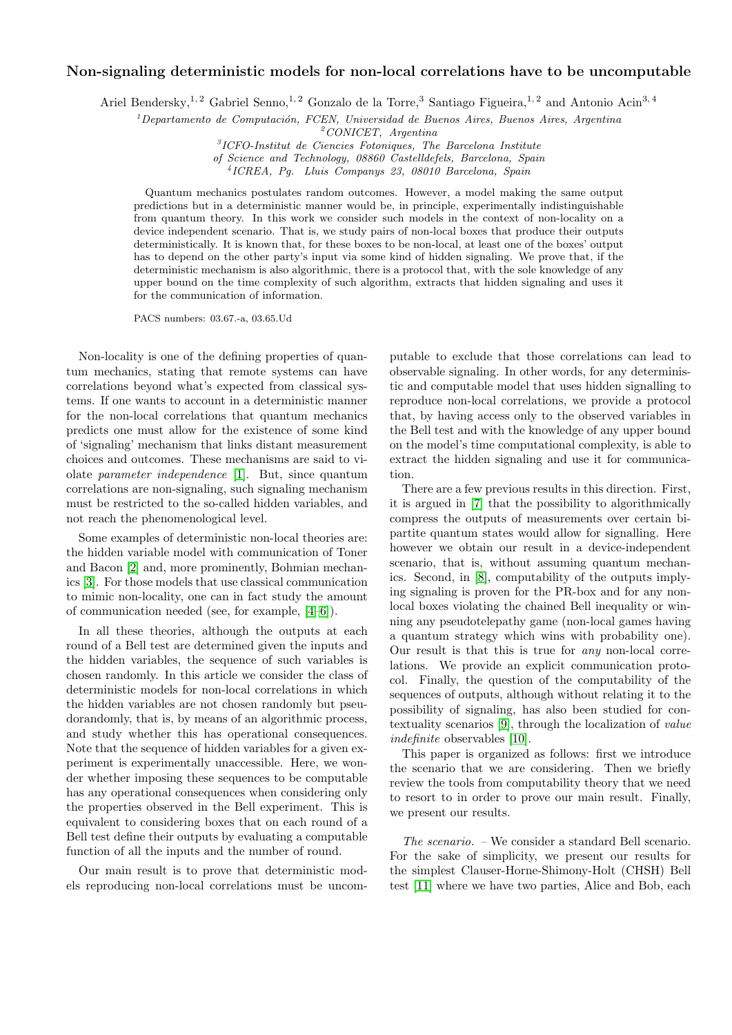## Non-signaling deterministic models for non-local correlations have to be uncomputable

Ariel Bendersky,<sup>1, 2</sup> Gabriel Senno,<sup>1, 2</sup> Gonzalo de la Torre,<sup>3</sup> Santiago Figueira,<sup>1, 2</sup> and Antonio Acin<sup>3, 4</sup>

 $1$ Departamento de Computación, FCEN, Universidad de Buenos Aires, Buenos Aires, Argentina

3 ICFO-Institut de Ciencies Fotoniques, The Barcelona Institute

of Science and Technology, 08860 Castelldefels, Barcelona, Spain

4 ICREA, Pg. Lluis Companys 23, 08010 Barcelona, Spain

Quantum mechanics postulates random outcomes. However, a model making the same output predictions but in a deterministic manner would be, in principle, experimentally indistinguishable from quantum theory. In this work we consider such models in the context of non-locality on a device independent scenario. That is, we study pairs of non-local boxes that produce their outputs deterministically. It is known that, for these boxes to be non-local, at least one of the boxes' output has to depend on the other party's input via some kind of hidden signaling. We prove that, if the deterministic mechanism is also algorithmic, there is a protocol that, with the sole knowledge of any upper bound on the time complexity of such algorithm, extracts that hidden signaling and uses it for the communication of information.

PACS numbers: 03.67.-a, 03.65.Ud

Non-locality is one of the defining properties of quantum mechanics, stating that remote systems can have correlations beyond what's expected from classical systems. If one wants to account in a deterministic manner for the non-local correlations that quantum mechanics predicts one must allow for the existence of some kind of 'signaling' mechanism that links distant measurement choices and outcomes. These mechanisms are said to violate parameter independence [\[1\]](#page-4-0). But, since quantum correlations are non-signaling, such signaling mechanism must be restricted to the so-called hidden variables, and not reach the phenomenological level.

Some examples of deterministic non-local theories are: the hidden variable model with communication of Toner and Bacon [\[2\]](#page-4-1) and, more prominently, Bohmian mechanics [\[3\]](#page-4-2). For those models that use classical communication to mimic non-locality, one can in fact study the amount of communication needed (see, for example, [\[4–](#page-4-3)[6\]](#page-4-4)).

In all these theories, although the outputs at each round of a Bell test are determined given the inputs and the hidden variables, the sequence of such variables is chosen randomly. In this article we consider the class of deterministic models for non-local correlations in which the hidden variables are not chosen randomly but pseudorandomly, that is, by means of an algorithmic process, and study whether this has operational consequences. Note that the sequence of hidden variables for a given experiment is experimentally unaccessible. Here, we wonder whether imposing these sequences to be computable has any operational consequences when considering only the properties observed in the Bell experiment. This is equivalent to considering boxes that on each round of a Bell test define their outputs by evaluating a computable function of all the inputs and the number of round.

Our main result is to prove that deterministic models reproducing non-local correlations must be uncomputable to exclude that those correlations can lead to observable signaling. In other words, for any deterministic and computable model that uses hidden signalling to reproduce non-local correlations, we provide a protocol that, by having access only to the observed variables in the Bell test and with the knowledge of any upper bound on the model's time computational complexity, is able to extract the hidden signaling and use it for communication.

There are a few previous results in this direction. First, it is argued in [\[7\]](#page-4-5) that the possibility to algorithmically compress the outputs of measurements over certain bipartite quantum states would allow for signalling. Here however we obtain our result in a device-independent scenario, that is, without assuming quantum mechanics. Second, in [\[8\]](#page-4-6), computability of the outputs implying signaling is proven for the PR-box and for any nonlocal boxes violating the chained Bell inequality or winning any pseudotelepathy game (non-local games having a quantum strategy which wins with probability one). Our result is that this is true for any non-local correlations. We provide an explicit communication protocol. Finally, the question of the computability of the sequences of outputs, although without relating it to the possibility of signaling, has also been studied for contextuality scenarios [\[9\]](#page-4-7), through the localization of value indefinite observables [\[10\]](#page-4-8).

This paper is organized as follows: first we introduce the scenario that we are considering. Then we briefly review the tools from computability theory that we need to resort to in order to prove our main result. Finally, we present our results.

The scenario. – We consider a standard Bell scenario. For the sake of simplicity, we present our results for the simplest Clauser-Horne-Shimony-Holt (CHSH) Bell test [\[11\]](#page-4-9) where we have two parties, Alice and Bob, each

 $^2$ CONICET, Argentina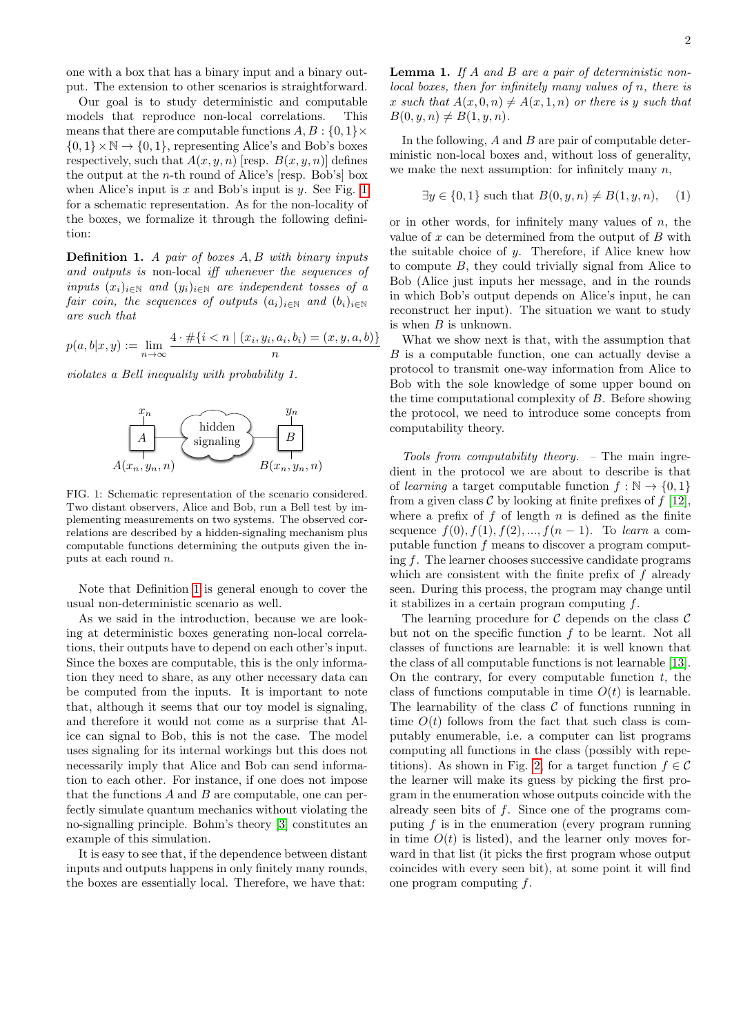one with a box that has a binary input and a binary output. The extension to other scenarios is straightforward.

Our goal is to study deterministic and computable models that reproduce non-local correlations. This means that there are computable functions  $A, B$ :  $\{0, 1\} \times$  $\{0, 1\} \times \mathbb{N} \to \{0, 1\}$ , representing Alice's and Bob's boxes respectively, such that  $A(x, y, n)$  [resp.  $B(x, y, n)$ ] defines the output at the n-th round of Alice's [resp. Bob's] box when Alice's input is x and Bob's input is y. See Fig. [1](#page-1-0) for a schematic representation. As for the non-locality of the boxes, we formalize it through the following definition:

<span id="page-1-1"></span>Definition 1. A pair of boxes A, B with binary inputs and outputs is non-local iff whenever the sequences of inputs  $(x_i)_{i\in\mathbb{N}}$  and  $(y_i)_{i\in\mathbb{N}}$  are independent tosses of a fair coin, the sequences of outputs  $(a_i)_{i\in\mathbb{N}}$  and  $(b_i)_{i\in\mathbb{N}}$ are such that

$$
p(a, b|x, y) := \lim_{n \to \infty} \frac{4 \cdot \# \{ i < n \mid (x_i, y_i, a_i, b_i) = (x, y, a, b) \}}{n}
$$

violates a Bell inequality with probability 1.



<span id="page-1-0"></span>FIG. 1: Schematic representation of the scenario considered. Two distant observers, Alice and Bob, run a Bell test by implementing measurements on two systems. The observed correlations are described by a hidden-signaling mechanism plus computable functions determining the outputs given the inputs at each round n.

Note that Definition [1](#page-1-1) is general enough to cover the usual non-deterministic scenario as well.

As we said in the introduction, because we are looking at deterministic boxes generating non-local correlations, their outputs have to depend on each other's input. Since the boxes are computable, this is the only information they need to share, as any other necessary data can be computed from the inputs. It is important to note that, although it seems that our toy model is signaling, and therefore it would not come as a surprise that Alice can signal to Bob, this is not the case. The model uses signaling for its internal workings but this does not necessarily imply that Alice and Bob can send information to each other. For instance, if one does not impose that the functions  $A$  and  $B$  are computable, one can perfectly simulate quantum mechanics without violating the no-signalling principle. Bohm's theory [\[3\]](#page-4-2) constitutes an example of this simulation.

It is easy to see that, if the dependence between distant inputs and outputs happens in only finitely many rounds, the boxes are essentially local. Therefore, we have that:

<span id="page-1-3"></span>**Lemma 1.** If A and B are a pair of deterministic nonlocal boxes, then for infinitely many values of n, there is x such that  $A(x, 0, n) \neq A(x, 1, n)$  or there is y such that  $B(0, y, n) \neq B(1, y, n).$ 

In the following,  $A$  and  $B$  are pair of computable deterministic non-local boxes and, without loss of generality, we make the next assumption: for infinitely many  $n$ ,

<span id="page-1-2"></span>
$$
\exists y \in \{0, 1\} \text{ such that } B(0, y, n) \neq B(1, y, n), \quad (1)
$$

or in other words, for infinitely many values of  $n$ , the value of  $x$  can be determined from the output of  $B$  with the suitable choice of  $y$ . Therefore, if Alice knew how to compute B, they could trivially signal from Alice to Bob (Alice just inputs her message, and in the rounds in which Bob's output depends on Alice's input, he can reconstruct her input). The situation we want to study is when  $B$  is unknown.

What we show next is that, with the assumption that B is a computable function, one can actually devise a protocol to transmit one-way information from Alice to Bob with the sole knowledge of some upper bound on the time computational complexity of B. Before showing the protocol, we need to introduce some concepts from computability theory.

Tools from computability theory. – The main ingredient in the protocol we are about to describe is that of learning a target computable function  $f : \mathbb{N} \to \{0, 1\}$ from a given class  $\mathcal C$  by looking at finite prefixes of  $f$  [\[12\]](#page-4-10), where a prefix of  $f$  of length  $n$  is defined as the finite sequence  $f(0), f(1), f(2), ..., f(n-1)$ . To learn a computable function  $f$  means to discover a program computing f. The learner chooses successive candidate programs which are consistent with the finite prefix of  $f$  already seen. During this process, the program may change until it stabilizes in a certain program computing  $f$ .

The learning procedure for  $\mathcal C$  depends on the class  $\mathcal C$ but not on the specific function  $f$  to be learnt. Not all classes of functions are learnable: it is well known that the class of all computable functions is not learnable [\[13\]](#page-4-11). On the contrary, for every computable function  $t$ , the class of functions computable in time  $O(t)$  is learnable. The learnability of the class  $C$  of functions running in time  $O(t)$  follows from the fact that such class is computably enumerable, i.e. a computer can list programs computing all functions in the class (possibly with repe-titions). As shown in Fig. [2,](#page-2-0) for a target function  $f \in \mathcal{C}$ the learner will make its guess by picking the first program in the enumeration whose outputs coincide with the already seen bits of f. Since one of the programs computing f is in the enumeration (every program running in time  $O(t)$  is listed), and the learner only moves forward in that list (it picks the first program whose output coincides with every seen bit), at some point it will find one program computing f.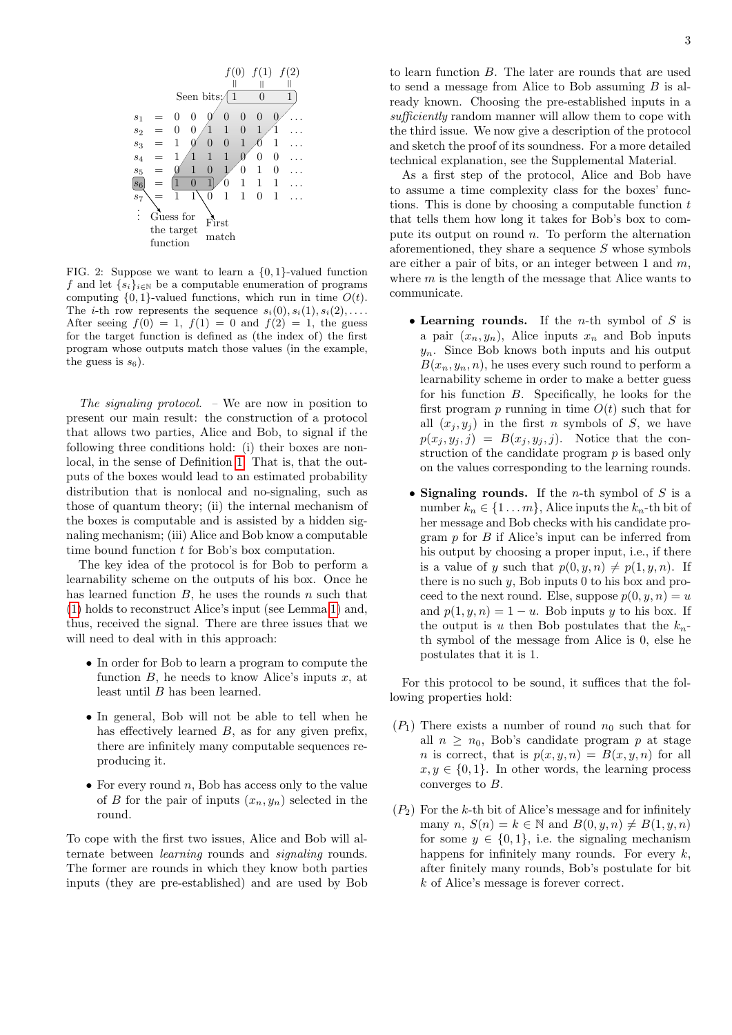

<span id="page-2-0"></span>FIG. 2: Suppose we want to learn a  $\{0,1\}$ -valued function f and let  $\{s_i\}_{i\in\mathbb{N}}$  be a computable enumeration of programs computing  $\{0, 1\}$ -valued functions, which run in time  $O(t)$ . The *i*-th row represents the sequence  $s_i(0), s_i(1), s_i(2), \ldots$ . After seeing  $f(0) = 1$ ,  $f(1) = 0$  and  $f(2) = 1$ , the guess for the target function is defined as (the index of) the first program whose outputs match those values (in the example, the guess is  $s_6$ ).

The signaling protocol. – We are now in position to present our main result: the construction of a protocol that allows two parties, Alice and Bob, to signal if the following three conditions hold: (i) their boxes are nonlocal, in the sense of Definition [1.](#page-1-1) That is, that the outputs of the boxes would lead to an estimated probability distribution that is nonlocal and no-signaling, such as those of quantum theory; (ii) the internal mechanism of the boxes is computable and is assisted by a hidden signaling mechanism; (iii) Alice and Bob know a computable time bound function t for Bob's box computation.

The key idea of the protocol is for Bob to perform a learnability scheme on the outputs of his box. Once he has learned function  $B$ , he uses the rounds  $n$  such that [\(1\)](#page-1-2) holds to reconstruct Alice's input (see Lemma [1\)](#page-1-3) and, thus, received the signal. There are three issues that we will need to deal with in this approach:

- In order for Bob to learn a program to compute the function  $B$ , he needs to know Alice's inputs  $x$ , at least until B has been learned.
- In general, Bob will not be able to tell when he has effectively learned  $B$ , as for any given prefix, there are infinitely many computable sequences reproducing it.
- For every round  $n$ , Bob has access only to the value of B for the pair of inputs  $(x_n, y_n)$  selected in the round.

To cope with the first two issues, Alice and Bob will alternate between learning rounds and signaling rounds. The former are rounds in which they know both parties inputs (they are pre-established) and are used by Bob

to learn function B. The later are rounds that are used to send a message from Alice to Bob assuming  $B$  is already known. Choosing the pre-established inputs in a sufficiently random manner will allow them to cope with the third issue. We now give a description of the protocol and sketch the proof of its soundness. For a more detailed technical explanation, see the Supplemental Material.

As a first step of the protocol, Alice and Bob have to assume a time complexity class for the boxes' functions. This is done by choosing a computable function  $t$ that tells them how long it takes for Bob's box to compute its output on round  $n$ . To perform the alternation aforementioned, they share a sequence S whose symbols are either a pair of bits, or an integer between 1 and  $m$ . where  $m$  is the length of the message that Alice wants to communicate.

- Learning rounds. If the *n*-th symbol of S is a pair  $(x_n, y_n)$ , Alice inputs  $x_n$  and Bob inputs  $y_n$ . Since Bob knows both inputs and his output  $B(x_n, y_n, n)$ , he uses every such round to perform a learnability scheme in order to make a better guess for his function B. Specifically, he looks for the first program p running in time  $O(t)$  such that for all  $(x_i, y_i)$  in the first *n* symbols of *S*, we have  $p(x_i, y_i, j) = B(x_i, y_i, j)$ . Notice that the construction of the candidate program  $p$  is based only on the values corresponding to the learning rounds.
- Signaling rounds. If the *n*-th symbol of  $S$  is a number  $k_n \in \{1 \dots m\}$ , Alice inputs the  $k_n$ -th bit of her message and Bob checks with his candidate program  $p$  for  $B$  if Alice's input can be inferred from his output by choosing a proper input, i.e., if there is a value of y such that  $p(0, y, n) \neq p(1, y, n)$ . If there is no such  $y$ , Bob inputs 0 to his box and proceed to the next round. Else, suppose  $p(0, y, n) = u$ and  $p(1, y, n) = 1 - u$ . Bob inputs y to his box. If the output is u then Bob postulates that the  $k_n$ th symbol of the message from Alice is 0, else he postulates that it is 1.

For this protocol to be sound, it suffices that the following properties hold:

- <span id="page-2-1"></span> $(P_1)$  There exists a number of round  $n_0$  such that for all  $n \geq n_0$ , Bob's candidate program p at stage n is correct, that is  $p(x, y, n) = B(x, y, n)$  for all  $x, y \in \{0, 1\}$ . In other words, the learning process converges to B.
- <span id="page-2-2"></span> $(P_2)$  For the k-th bit of Alice's message and for infinitely many  $n, S(n) = k \in \mathbb{N}$  and  $B(0, y, n) \neq B(1, y, n)$ for some  $y \in \{0, 1\}$ , i.e. the signaling mechanism happens for infinitely many rounds. For every  $k$ , after finitely many rounds, Bob's postulate for bit k of Alice's message is forever correct.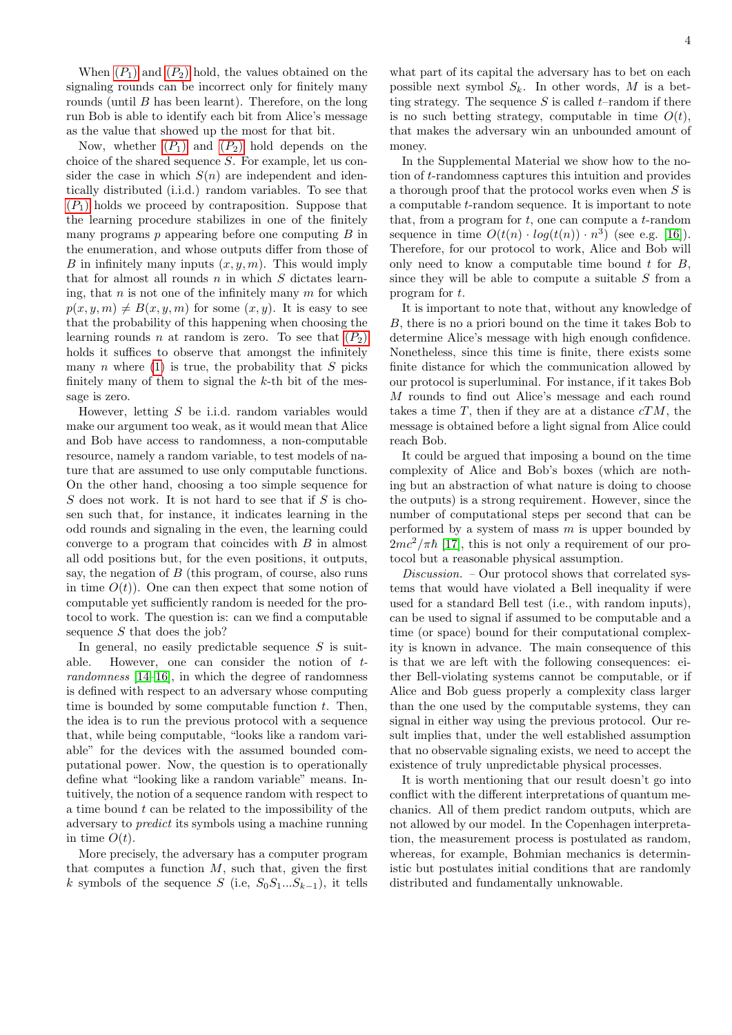When  $(P_1)$  $(P_1)$  $(P_1)$  and  $(P_2)$  hold, the values obtained on the signaling rounds can be incorrect only for finitely many rounds (until B has been learnt). Therefore, on the long run Bob is able to identify each bit from Alice's message as the value that showed up the most for that bit.

Now, whether  $(P_1)$  $(P_1)$  $(P_1)$  and  $(P_2)$  hold depends on the choice of the shared sequence S. For example, let us consider the case in which  $S(n)$  are independent and identically distributed (i.i.d.) random variables. To see that  $(P_1)$  $(P_1)$  $(P_1)$  holds we proceed by contraposition. Suppose that the learning procedure stabilizes in one of the finitely many programs  $p$  appearing before one computing  $B$  in the enumeration, and whose outputs differ from those of B in infinitely many inputs  $(x, y, m)$ . This would imply that for almost all rounds  $n$  in which  $S$  dictates learning, that  $n$  is not one of the infinitely many  $m$  for which  $p(x, y, m) \neq B(x, y, m)$  for some  $(x, y)$ . It is easy to see that the probability of this happening when choosing the learning rounds n at random is zero. To see that  $(P_2)$  $(P_2)$  $(P_2)$ holds it suffices to observe that amongst the infinitely many n where  $(1)$  is true, the probability that S picks finitely many of them to signal the  $k$ -th bit of the message is zero.

However, letting S be i.i.d. random variables would make our argument too weak, as it would mean that Alice and Bob have access to randomness, a non-computable resource, namely a random variable, to test models of nature that are assumed to use only computable functions. On the other hand, choosing a too simple sequence for  $S$  does not work. It is not hard to see that if  $S$  is chosen such that, for instance, it indicates learning in the odd rounds and signaling in the even, the learning could converge to a program that coincides with B in almost all odd positions but, for the even positions, it outputs, say, the negation of  $B$  (this program, of course, also runs in time  $O(t)$ ). One can then expect that some notion of computable yet sufficiently random is needed for the protocol to work. The question is: can we find a computable sequence  $S$  that does the job?

In general, no easily predictable sequence  $S$  is suitable. However, one can consider the notion of trandomness [\[14–](#page-4-12)[16\]](#page-4-13), in which the degree of randomness is defined with respect to an adversary whose computing time is bounded by some computable function  $t$ . Then, the idea is to run the previous protocol with a sequence that, while being computable, "looks like a random variable" for the devices with the assumed bounded computational power. Now, the question is to operationally define what "looking like a random variable" means. Intuitively, the notion of a sequence random with respect to a time bound  $t$  can be related to the impossibility of the adversary to predict its symbols using a machine running in time  $O(t)$ .

More precisely, the adversary has a computer program that computes a function  $M$ , such that, given the first k symbols of the sequence S (i.e,  $S_0S_1...S_{k-1}$ ), it tells what part of its capital the adversary has to bet on each possible next symbol  $S_k$ . In other words, M is a betting strategy. The sequence  $S$  is called  $t$ -random if there is no such betting strategy, computable in time  $O(t)$ , that makes the adversary win an unbounded amount of money.

In the Supplemental Material we show how to the notion of t-randomness captures this intuition and provides a thorough proof that the protocol works even when  $S$  is a computable t-random sequence. It is important to note that, from a program for  $t$ , one can compute a  $t$ -random sequence in time  $O(t(n) \cdot log(t(n)) \cdot n^3)$  (see e.g. [\[16\]](#page-4-13)). Therefore, for our protocol to work, Alice and Bob will only need to know a computable time bound  $t$  for  $B$ , since they will be able to compute a suitable S from a program for t.

It is important to note that, without any knowledge of B, there is no a priori bound on the time it takes Bob to determine Alice's message with high enough confidence. Nonetheless, since this time is finite, there exists some finite distance for which the communication allowed by our protocol is superluminal. For instance, if it takes Bob M rounds to find out Alice's message and each round takes a time  $T$ , then if they are at a distance  $cTM$ , the message is obtained before a light signal from Alice could reach Bob.

It could be argued that imposing a bound on the time complexity of Alice and Bob's boxes (which are nothing but an abstraction of what nature is doing to choose the outputs) is a strong requirement. However, since the number of computational steps per second that can be performed by a system of mass  $m$  is upper bounded by  $2mc^2/\pi\hbar$  [\[17\]](#page-4-14), this is not only a requirement of our protocol but a reasonable physical assumption.

 $Discussion. - Our protocol shows that correlated sys$ tems that would have violated a Bell inequality if were used for a standard Bell test (i.e., with random inputs), can be used to signal if assumed to be computable and a time (or space) bound for their computational complexity is known in advance. The main consequence of this is that we are left with the following consequences: either Bell-violating systems cannot be computable, or if Alice and Bob guess properly a complexity class larger than the one used by the computable systems, they can signal in either way using the previous protocol. Our result implies that, under the well established assumption that no observable signaling exists, we need to accept the existence of truly unpredictable physical processes.

It is worth mentioning that our result doesn't go into conflict with the different interpretations of quantum mechanics. All of them predict random outputs, which are not allowed by our model. In the Copenhagen interpretation, the measurement process is postulated as random, whereas, for example, Bohmian mechanics is deterministic but postulates initial conditions that are randomly distributed and fundamentally unknowable.